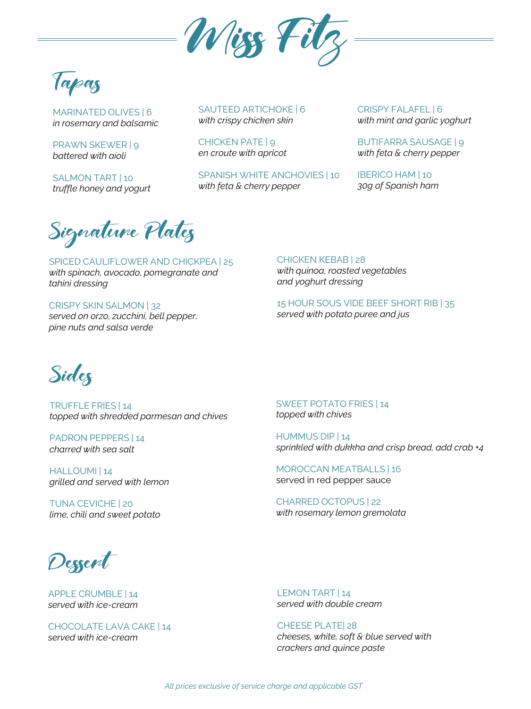

pag

MARINATED OLIVES | 6 *in rosemary and balsamic* 

PRAWN SKEWER | 9 *battered with aioli* 

SALMON TART | 10 *truffle honey and yogurt*  SAUTEED ARTICHOKE | 6 *with crispy chicken skin*

CHICKEN PATE | 9 *en croute with apricot*

SPANISH WHITE ANCHOVIES | 10 *with feta & cherry pepper*

CRISPY FALAFEL | 6 *with mint and garlic yoghurt* 

BUTIFARRA SAUSAGE | 9 *with feta & cherry pepper*

IBERICO HAM | 10 *30g of Spanish ham*

Signature Plates

SPICED CAULIFLOWER AND CHICKPEA | 25 *with spinach, avocado, pomegranate and tahini dressing*

CRISPY SKIN SALMON | 32 *served on orzo, zucchini, bell pepper, pine nuts and salsa verde*

CHICKEN KEBAB | 28 *with quinoa, roasted vegetables and yoghurt dressing* 

15 HOUR SOUS VIDE BEEF SHORT RIB | 35 *served with potato puree and jus*



TRUFFLE FRIES | 14 *topped with shredded parmesan and chives* 

PADRON PEPPERS | 14 *charred with sea salt* 

HALLOUMI | 14 *grilled and served with lemon*

TUNA CEVICHE | 20 *lime, chili and sweet potato*

SWEET POTATO FRIES | 14 *topped with chives*

HUMMUS DIP | 14 *sprinkled with dukkha and crisp bread, add crab +4*

MOROCCAN MEATBALLS | 16 served in red pepper sauce

CHARRED OCTOPUS | 22 *with rosemary lemon gremolata* 

Dessent

APPLE CRUMBLE | 14 *served with ice-cream*

CHOCOLATE LAVA CAKE | 14 *served with ice-cream*

LEMON TART | 14 *served with double cream*

CHEESE PLATE| 28 *cheeses, white, soft & blue served with crackers and quince paste*

*All prices exclusive of service charge and applicable GST*